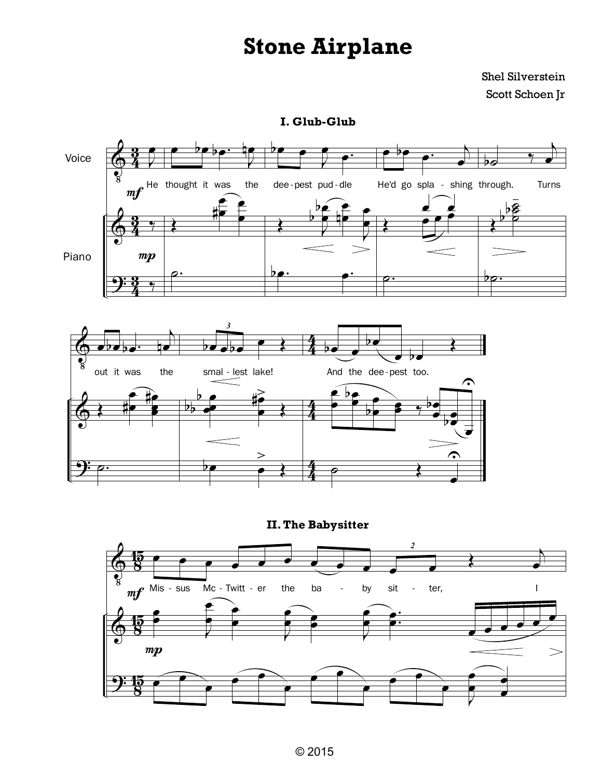## **Stone Airplane**

Shel Silverstein Scott Schoen Jr

**I. Glub-Glub**



**II.The Babysitter**

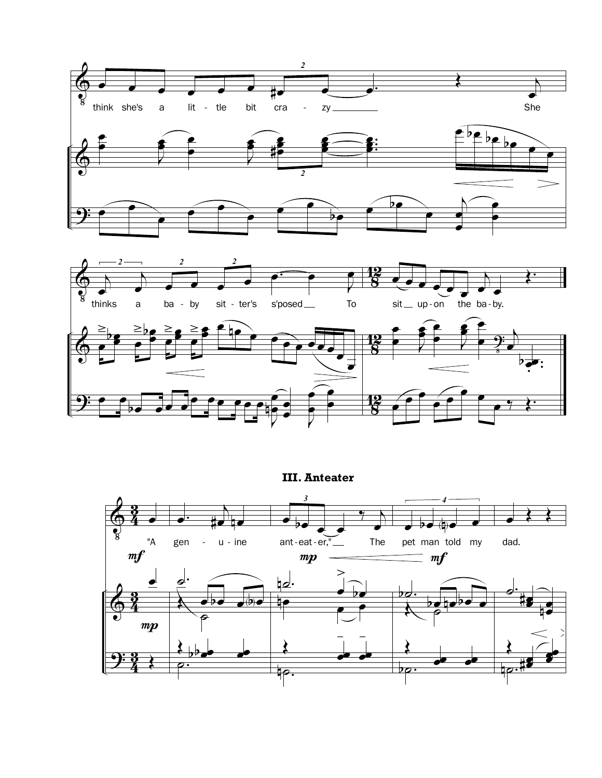



**III. Anteater**

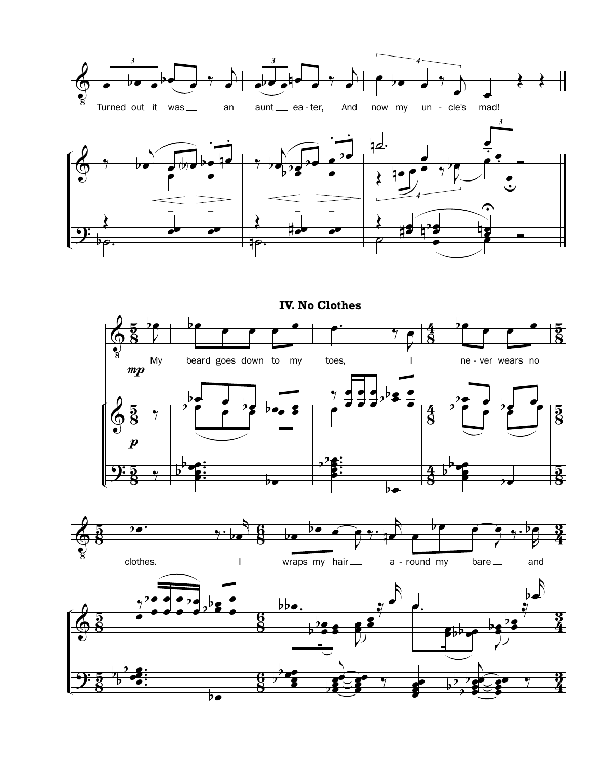